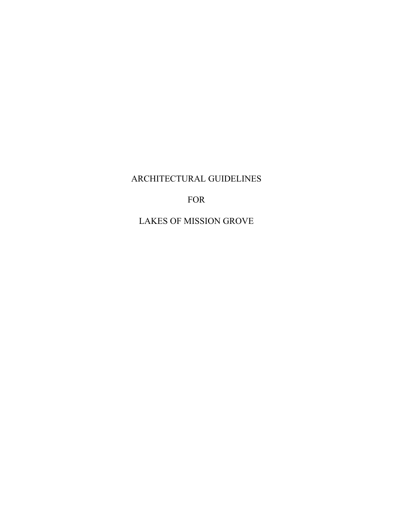# ARCHITECTURAL GUIDELINES

## FOR

LAKES OF MISSION GROVE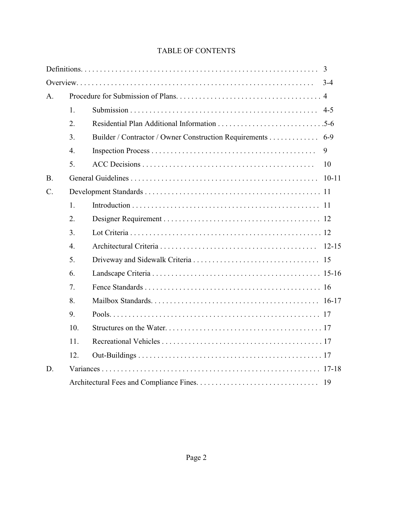### TABLE OF CONTENTS

| $3-4$          |                  |                                                            |           |  |
|----------------|------------------|------------------------------------------------------------|-----------|--|
| A <sub>1</sub> |                  |                                                            |           |  |
|                | 1 <sub>1</sub>   |                                                            |           |  |
|                | $\overline{2}$ . |                                                            |           |  |
|                | $\overline{3}$ . | Builder / Contractor / Owner Construction Requirements 6-9 |           |  |
|                | $\overline{4}$ . |                                                            | 9         |  |
|                | 5.               |                                                            | 10        |  |
| <b>B.</b>      |                  |                                                            | $10 - 11$ |  |
| $\mathbf{C}$ . |                  |                                                            |           |  |
|                | 1 <sub>1</sub>   |                                                            |           |  |
|                | 2.               |                                                            |           |  |
|                | $\overline{3}$ . |                                                            |           |  |
|                | $\overline{4}$ . |                                                            |           |  |
|                | 5.               |                                                            |           |  |
|                | 6.               |                                                            |           |  |
|                | 7.               |                                                            |           |  |
|                | 8.               |                                                            |           |  |
|                | 9.               |                                                            |           |  |
|                | 10.              |                                                            |           |  |
|                | 11.              |                                                            |           |  |
|                | 12.              |                                                            |           |  |
| D.             |                  |                                                            |           |  |
|                |                  |                                                            |           |  |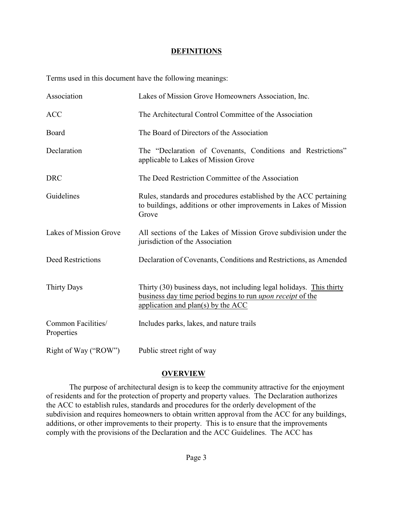#### **DEFINITIONS**

Terms used in this document have the following meanings:

| Association                      | Lakes of Mission Grove Homeowners Association, Inc.                                                                                                                               |  |  |
|----------------------------------|-----------------------------------------------------------------------------------------------------------------------------------------------------------------------------------|--|--|
| <b>ACC</b>                       | The Architectural Control Committee of the Association                                                                                                                            |  |  |
| Board                            | The Board of Directors of the Association                                                                                                                                         |  |  |
| Declaration                      | The "Declaration of Covenants, Conditions and Restrictions"<br>applicable to Lakes of Mission Grove                                                                               |  |  |
| <b>DRC</b>                       | The Deed Restriction Committee of the Association                                                                                                                                 |  |  |
| Guidelines                       | Rules, standards and procedures established by the ACC pertaining<br>to buildings, additions or other improvements in Lakes of Mission<br>Grove                                   |  |  |
| Lakes of Mission Grove           | All sections of the Lakes of Mission Grove subdivision under the<br>jurisdiction of the Association                                                                               |  |  |
| <b>Deed Restrictions</b>         | Declaration of Covenants, Conditions and Restrictions, as Amended                                                                                                                 |  |  |
| <b>Thirty Days</b>               | Thirty (30) business days, not including legal holidays. This thirty<br>business day time period begins to run <i>upon receipt</i> of the<br>application and plan(s) by the $ACC$ |  |  |
| Common Facilities/<br>Properties | Includes parks, lakes, and nature trails                                                                                                                                          |  |  |
| Right of Way ("ROW")             | Public street right of way                                                                                                                                                        |  |  |

#### **OVERVIEW**

The purpose of architectural design is to keep the community attractive for the enjoyment of residents and for the protection of property and property values. The Declaration authorizes the ACC to establish rules, standards and procedures for the orderly development of the subdivision and requires homeowners to obtain written approval from the ACC for any buildings, additions, or other improvements to their property. This is to ensure that the improvements comply with the provisions of the Declaration and the ACC Guidelines. The ACC has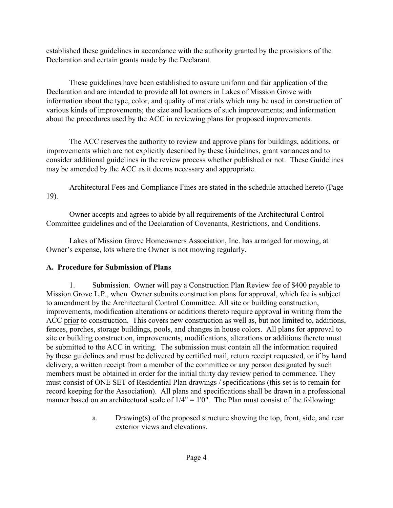established these guidelines in accordance with the authority granted by the provisions of the Declaration and certain grants made by the Declarant.

These guidelines have been established to assure uniform and fair application of the Declaration and are intended to provide all lot owners in Lakes of Mission Grove with information about the type, color, and quality of materials which may be used in construction of various kinds of improvements; the size and locations of such improvements; and information about the procedures used by the ACC in reviewing plans for proposed improvements.

The ACC reserves the authority to review and approve plans for buildings, additions, or improvements which are not explicitly described by these Guidelines, grant variances and to consider additional guidelines in the review process whether published or not. These Guidelines may be amended by the ACC as it deems necessary and appropriate.

Architectural Fees and Compliance Fines are stated in the schedule attached hereto (Page 19).

Owner accepts and agrees to abide by all requirements of the Architectural Control Committee guidelines and of the Declaration of Covenants, Restrictions, and Conditions.

Lakes of Mission Grove Homeowners Association, Inc. has arranged for mowing, at Owner's expense, lots where the Owner is not mowing regularly.

#### **A. Procedure for Submission of Plans**

1. Submission. Owner will pay a Construction Plan Review fee of \$400 payable to Mission Grove L.P., when Owner submits construction plans for approval, which fee is subject to amendment by the Architectural Control Committee. All site or building construction, improvements, modification alterations or additions thereto require approval in writing from the ACC prior to construction. This covers new construction as well as, but not limited to, additions, fences, porches, storage buildings, pools, and changes in house colors. All plans for approval to site or building construction, improvements, modifications, alterations or additions thereto must be submitted to the ACC in writing. The submission must contain all the information required by these guidelines and must be delivered by certified mail, return receipt requested, or if by hand delivery, a written receipt from a member of the committee or any person designated by such members must be obtained in order for the initial thirty day review period to commence. They must consist of ONE SET of Residential Plan drawings / specifications (this set is to remain for record keeping for the Association). All plans and specifications shall be drawn in a professional manner based on an architectural scale of  $1/4" = 1'0"$ . The Plan must consist of the following:

> a. Drawing(s) of the proposed structure showing the top, front, side, and rear exterior views and elevations.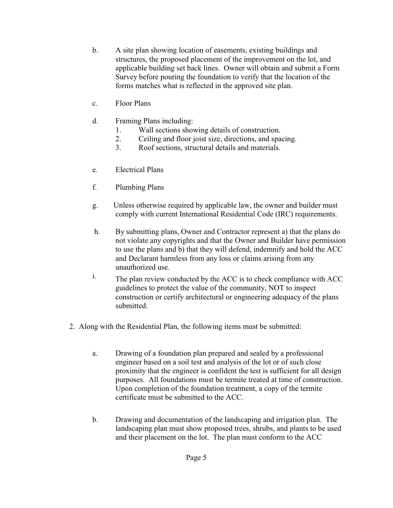- b. A site plan showing location of easements, existing buildings and structures, the proposed placement of the improvement on the lot, and applicable building set back lines. Owner will obtain and submit a Form Survey before pouring the foundation to verify that the location of the forms matches what is reflected in the approved site plan.
- c. Floor Plans
- d. Framing Plans including:
	- 1. Wall sections showing details of construction.<br>2. Ceiling and floor joist size, directions, and spa
	- 2. Ceiling and floor joist size, directions, and spacing.
	- 3. Roof sections, structural details and materials.
- e. Electrical Plans
- f. Plumbing Plans
- g. Unless otherwise required by applicable law, the owner and builder must comply with current International Residential Code (IRC) requirements.
- h. By submitting plans, Owner and Contractor represent a) that the plans do not violate any copyrights and that the Owner and Builder have permission to use the plans and b) that they will defend, indemnify and hold the ACC and Declarant harmless from any loss or claims arising from any unauthorized use.
- $\dot{C}$  The plan review conducted by the ACC is to check compliance with ACC guidelines to protect the value of the community, NOT to inspect construction or certify architectural or engineering adequacy of the plans submitted.
- 2. Along with the Residential Plan, the following items must be submitted:
	- a. Drawing of a foundation plan prepared and sealed by a professional engineer based on a soil test and analysis of the lot or of such close proximity that the engineer is confident the test is sufficient for all design purposes. All foundations must be termite treated at time of construction. Upon completion of the foundation treatment, a copy of the termite certificate must be submitted to the ACC.
	- b. Drawing and documentation of the landscaping and irrigation plan. The landscaping plan must show proposed trees, shrubs, and plants to be used and their placement on the lot. The plan must conform to the ACC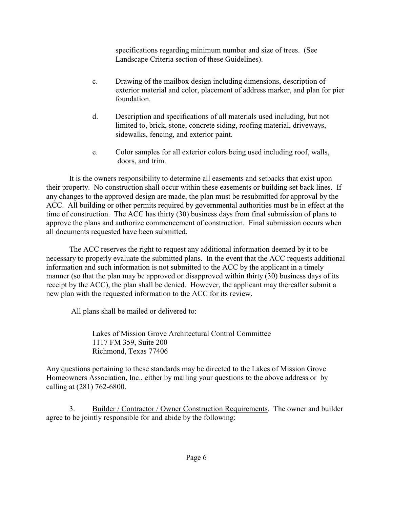specifications regarding minimum number and size of trees. (See Landscape Criteria section of these Guidelines).

- c. Drawing of the mailbox design including dimensions, description of exterior material and color, placement of address marker, and plan for pier foundation.
- d. Description and specifications of all materials used including, but not limited to, brick, stone, concrete siding, roofing material, driveways, sidewalks, fencing, and exterior paint.
- e. Color samples for all exterior colors being used including roof, walls, doors, and trim.

It is the owners responsibility to determine all easements and setbacks that exist upon their property. No construction shall occur within these easements or building set back lines. If any changes to the approved design are made, the plan must be resubmitted for approval by the ACC. All building or other permits required by governmental authorities must be in effect at the time of construction. The ACC has thirty (30) business days from final submission of plans to approve the plans and authorize commencement of construction. Final submission occurs when all documents requested have been submitted.

The ACC reserves the right to request any additional information deemed by it to be necessary to properly evaluate the submitted plans. In the event that the ACC requests additional information and such information is not submitted to the ACC by the applicant in a timely manner (so that the plan may be approved or disapproved within thirty (30) business days of its receipt by the ACC), the plan shall be denied. However, the applicant may thereafter submit a new plan with the requested information to the ACC for its review.

All plans shall be mailed or delivered to:

Lakes of Mission Grove Architectural Control Committee 1117 FM 359, Suite 200 Richmond, Texas 77406

Any questions pertaining to these standards may be directed to the Lakes of Mission Grove Homeowners Association, Inc., either by mailing your questions to the above address or by calling at (281) 762-6800.

3. Builder / Contractor / Owner Construction Requirements. The owner and builder agree to be jointly responsible for and abide by the following: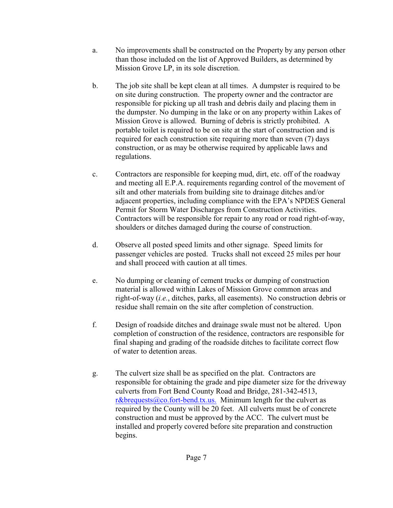- a. No improvements shall be constructed on the Property by any person other than those included on the list of Approved Builders, as determined by Mission Grove LP, in its sole discretion.
- b. The job site shall be kept clean at all times. A dumpster is required to be on site during construction. The property owner and the contractor are responsible for picking up all trash and debris daily and placing them in the dumpster. No dumping in the lake or on any property within Lakes of Mission Grove is allowed. Burning of debris is strictly prohibited. A portable toilet is required to be on site at the start of construction and is required for each construction site requiring more than seven (7) days construction, or as may be otherwise required by applicable laws and regulations.
- c. Contractors are responsible for keeping mud, dirt, etc. off of the roadway and meeting all E.P.A. requirements regarding control of the movement of silt and other materials from building site to drainage ditches and/or adjacent properties, including compliance with the EPA's NPDES General Permit for Storm Water Discharges from Construction Activities. Contractors will be responsible for repair to any road or road right-of-way, shoulders or ditches damaged during the course of construction.
- d. Observe all posted speed limits and other signage. Speed limits for passenger vehicles are posted. Trucks shall not exceed 25 miles per hour and shall proceed with caution at all times.
- e. No dumping or cleaning of cement trucks or dumping of construction material is allowed within Lakes of Mission Grove common areas and right-of-way (*i.e.*, ditches, parks, all easements). No construction debris or residue shall remain on the site after completion of construction.
- f. Design of roadside ditches and drainage swale must not be altered. Upon completion of construction of the residence, contractors are responsible for final shaping and grading of the roadside ditches to facilitate correct flow of water to detention areas.
- g. The culvert size shall be as specified on the plat. Contractors are responsible for obtaining the grade and pipe diameter size for the driveway culverts from Fort Bend County Road and Bridge, 281-342-4513,  $r\&\text{brequencies}(\partial\&\text{co.fort-bend.tx.us. Minimum length for the culvert as})$ required by the County will be 20 feet. All culverts must be of concrete construction and must be approved by the ACC. The culvert must be installed and properly covered before site preparation and construction begins.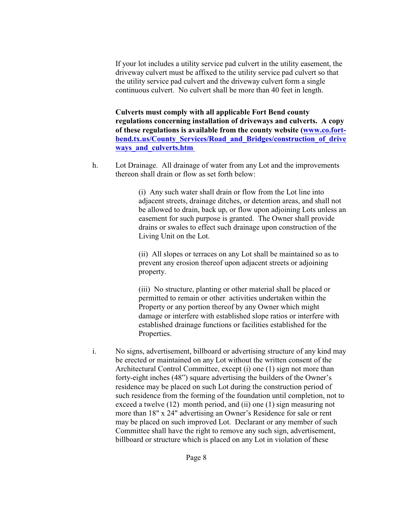If your lot includes a utility service pad culvert in the utility easement, the driveway culvert must be affixed to the utility service pad culvert so that the utility service pad culvert and the driveway culvert form a single continuous culvert. No culvert shall be more than 40 feet in length.

**Culverts must comply with all applicable Fort Bend county regulations concerning installation of driveways and culverts. A copy of these regulations is available from the county website [\(www.co.fort](http://www.co.fort-bend.tx.us).)[bend.tx.us/County\\_Services/Road\\_and\\_Bridges/construction\\_of\\_drive](http://www.co.fort-bend.tx.us).) [ways\\_and\\_culverts.htm](http://www.co.fort-bend.tx.us).)**

h. Lot Drainage. All drainage of water from any Lot and the improvements thereon shall drain or flow as set forth below:

> (i) Any such water shall drain or flow from the Lot line into adjacent streets, drainage ditches, or detention areas, and shall not be allowed to drain, back up, or flow upon adjoining Lots unless an easement for such purpose is granted. The Owner shall provide drains or swales to effect such drainage upon construction of the Living Unit on the Lot.

 (ii) All slopes or terraces on any Lot shall be maintained so as to prevent any erosion thereof upon adjacent streets or adjoining property.

 (iii) No structure, planting or other material shall be placed or permitted to remain or other activities undertaken within the Property or any portion thereof by any Owner which might damage or interfere with established slope ratios or interfere with established drainage functions or facilities established for the Properties.

i. No signs, advertisement, billboard or advertising structure of any kind may be erected or maintained on any Lot without the written consent of the Architectural Control Committee, except (i) one (1) sign not more than forty-eight inches (48") square advertising the builders of the Owner's residence may be placed on such Lot during the construction period of such residence from the forming of the foundation until completion, not to exceed a twelve (12) month period, and (ii) one (1) sign measuring not more than 18" x 24" advertising an Owner's Residence for sale or rent may be placed on such improved Lot. Declarant or any member of such Committee shall have the right to remove any such sign, advertisement, billboard or structure which is placed on any Lot in violation of these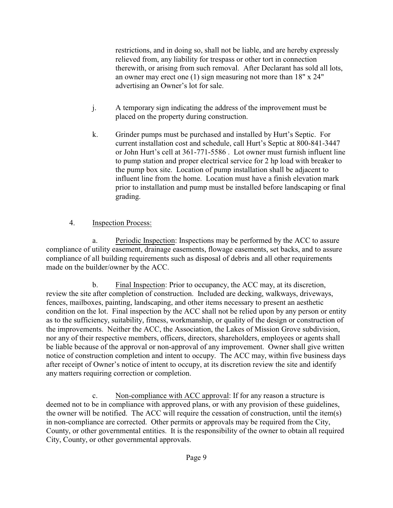restrictions, and in doing so, shall not be liable, and are hereby expressly relieved from, any liability for trespass or other tort in connection therewith, or arising from such removal. After Declarant has sold all lots, an owner may erect one (1) sign measuring not more than 18" x 24" advertising an Owner's lot for sale.

- j. A temporary sign indicating the address of the improvement must be placed on the property during construction.
- k. Grinder pumps must be purchased and installed by Hurt's Septic. For current installation cost and schedule, call Hurt's Septic at 800-841-3447 or John Hurt's cell at 361-771-5586 . Lot owner must furnish influent line to pump station and proper electrical service for 2 hp load with breaker to the pump box site. Location of pump installation shall be adjacent to influent line from the home. Location must have a finish elevation mark prior to installation and pump must be installed before landscaping or final grading.

#### 4. Inspection Process:

Periodic Inspection: Inspections may be performed by the ACC to assure compliance of utility easement, drainage easements, flowage easements, set backs, and to assure compliance of all building requirements such as disposal of debris and all other requirements made on the builder/owner by the ACC.

b. Final Inspection: Prior to occupancy, the ACC may, at its discretion, review the site after completion of construction. Included are decking, walkways, driveways, fences, mailboxes, painting, landscaping, and other items necessary to present an aesthetic condition on the lot. Final inspection by the ACC shall not be relied upon by any person or entity as to the sufficiency, suitability, fitness, workmanship, or quality of the design or construction of the improvements. Neither the ACC, the Association, the Lakes of Mission Grove subdivision, nor any of their respective members, officers, directors, shareholders, employees or agents shall be liable because of the approval or non-approval of any improvement. Owner shall give written notice of construction completion and intent to occupy. The ACC may, within five business days after receipt of Owner's notice of intent to occupy, at its discretion review the site and identify any matters requiring correction or completion.

c. Non-compliance with ACC approval: If for any reason a structure is deemed not to be in compliance with approved plans, or with any provision of these guidelines, the owner will be notified. The ACC will require the cessation of construction, until the item(s) in non-compliance are corrected. Other permits or approvals may be required from the City, County, or other governmental entities. It is the responsibility of the owner to obtain all required City, County, or other governmental approvals.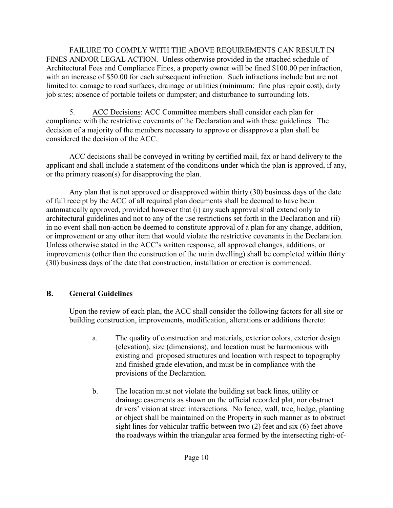FAILURE TO COMPLY WITH THE ABOVE REQUIREMENTS CAN RESULT IN FINES AND/OR LEGAL ACTION. Unless otherwise provided in the attached schedule of Architectural Fees and Compliance Fines, a property owner will be fined \$100.00 per infraction, with an increase of \$50.00 for each subsequent infraction. Such infractions include but are not limited to: damage to road surfaces, drainage or utilities (minimum: fine plus repair cost); dirty job sites; absence of portable toilets or dumpster; and disturbance to surrounding lots.

5. ACC Decisions: ACC Committee members shall consider each plan for compliance with the restrictive covenants of the Declaration and with these guidelines. The decision of a majority of the members necessary to approve or disapprove a plan shall be considered the decision of the ACC.

ACC decisions shall be conveyed in writing by certified mail, fax or hand delivery to the applicant and shall include a statement of the conditions under which the plan is approved, if any, or the primary reason(s) for disapproving the plan.

Any plan that is not approved or disapproved within thirty (30) business days of the date of full receipt by the ACC of all required plan documents shall be deemed to have been automatically approved, provided however that (i) any such approval shall extend only to architectural guidelines and not to any of the use restrictions set forth in the Declaration and (ii) in no event shall non-action be deemed to constitute approval of a plan for any change, addition, or improvement or any other item that would violate the restrictive covenants in the Declaration. Unless otherwise stated in the ACC's written response, all approved changes, additions, or improvements (other than the construction of the main dwelling) shall be completed within thirty (30) business days of the date that construction, installation or erection is commenced.

### **B. General Guidelines**

Upon the review of each plan, the ACC shall consider the following factors for all site or building construction, improvements, modification, alterations or additions thereto:

- a. The quality of construction and materials, exterior colors, exterior design (elevation), size (dimensions), and location must be harmonious with existing and proposed structures and location with respect to topography and finished grade elevation, and must be in compliance with the provisions of the Declaration.
- b. The location must not violate the building set back lines, utility or drainage easements as shown on the official recorded plat, nor obstruct drivers' vision at street intersections. No fence, wall, tree, hedge, planting or object shall be maintained on the Property in such manner as to obstruct sight lines for vehicular traffic between two (2) feet and six (6) feet above the roadways within the triangular area formed by the intersecting right-of-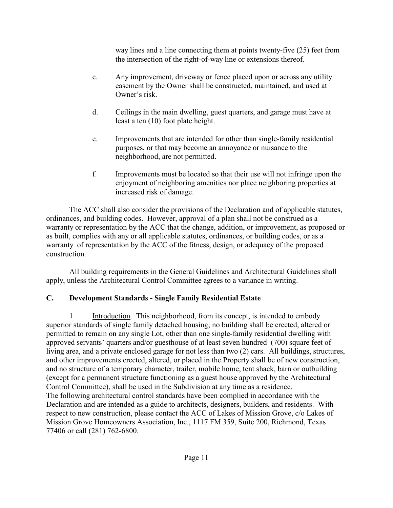way lines and a line connecting them at points twenty-five (25) feet from the intersection of the right-of-way line or extensions thereof.

- c. Any improvement, driveway or fence placed upon or across any utility easement by the Owner shall be constructed, maintained, and used at Owner's risk.
- d. Ceilings in the main dwelling, guest quarters, and garage must have at least a ten (10) foot plate height.
- e. Improvements that are intended for other than single-family residential purposes, or that may become an annoyance or nuisance to the neighborhood, are not permitted.
- f. Improvements must be located so that their use will not infringe upon the enjoyment of neighboring amenities nor place neighboring properties at increased risk of damage.

The ACC shall also consider the provisions of the Declaration and of applicable statutes, ordinances, and building codes. However, approval of a plan shall not be construed as a warranty or representation by the ACC that the change, addition, or improvement, as proposed or as built, complies with any or all applicable statutes, ordinances, or building codes, or as a warranty of representation by the ACC of the fitness, design, or adequacy of the proposed construction.

All building requirements in the General Guidelines and Architectural Guidelines shall apply, unless the Architectural Control Committee agrees to a variance in writing.

### **C. Development Standards - Single Family Residential Estate**

1. Introduction. This neighborhood, from its concept, is intended to embody superior standards of single family detached housing; no building shall be erected, altered or permitted to remain on any single Lot, other than one single-family residential dwelling with approved servants' quarters and/or guesthouse of at least seven hundred (700) square feet of living area, and a private enclosed garage for not less than two (2) cars. All buildings, structures, and other improvements erected, altered, or placed in the Property shall be of new construction, and no structure of a temporary character, trailer, mobile home, tent shack, barn or outbuilding (except for a permanent structure functioning as a guest house approved by the Architectural Control Committee), shall be used in the Subdivision at any time as a residence. The following architectural control standards have been complied in accordance with the Declaration and are intended as a guide to architects, designers, builders, and residents. With respect to new construction, please contact the ACC of Lakes of Mission Grove, c/o Lakes of Mission Grove Homeowners Association, Inc., 1117 FM 359, Suite 200, Richmond, Texas 77406 or call (281) 762-6800.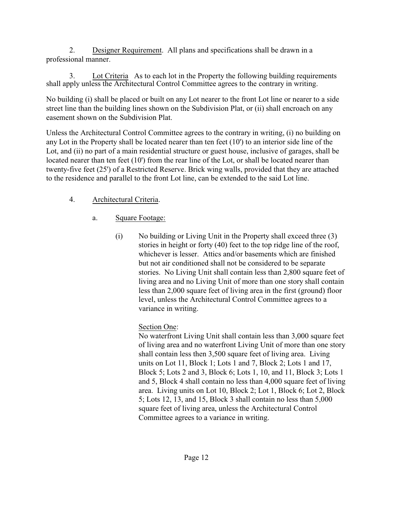2. Designer Requirement. All plans and specifications shall be drawn in a professional manner.

3. Lot Criteria As to each lot in the Property the following building requirements shall apply unless the Architectural Control Committee agrees to the contrary in writing.

No building (i) shall be placed or built on any Lot nearer to the front Lot line or nearer to a side street line than the building lines shown on the Subdivision Plat, or (ii) shall encroach on any easement shown on the Subdivision Plat.

Unless the Architectural Control Committee agrees to the contrary in writing, (i) no building on any Lot in the Property shall be located nearer than ten feet (10') to an interior side line of the Lot, and (ii) no part of a main residential structure or guest house, inclusive of garages, shall be located nearer than ten feet (10') from the rear line of the Lot, or shall be located nearer than twenty-five feet (25') of a Restricted Reserve. Brick wing walls, provided that they are attached to the residence and parallel to the front Lot line, can be extended to the said Lot line.

### 4. Architectural Criteria.

- a. Square Footage:
	- (i) No building or Living Unit in the Property shall exceed three (3) stories in height or forty (40) feet to the top ridge line of the roof, whichever is lesser. Attics and/or basements which are finished but not air conditioned shall not be considered to be separate stories. No Living Unit shall contain less than 2,800 square feet of living area and no Living Unit of more than one story shall contain less than 2,000 square feet of living area in the first (ground) floor level, unless the Architectural Control Committee agrees to a variance in writing.

### Section One:

No waterfront Living Unit shall contain less than 3,000 square feet of living area and no waterfront Living Unit of more than one story shall contain less then 3,500 square feet of living area. Living units on Lot 11, Block 1; Lots 1 and 7, Block 2; Lots 1 and 17, Block 5; Lots 2 and 3, Block 6; Lots 1, 10, and 11, Block 3; Lots 1 and 5, Block 4 shall contain no less than 4,000 square feet of living area. Living units on Lot 10, Block 2; Lot 1, Block 6; Lot 2, Block 5; Lots 12, 13, and 15, Block 3 shall contain no less than 5,000 square feet of living area, unless the Architectural Control Committee agrees to a variance in writing.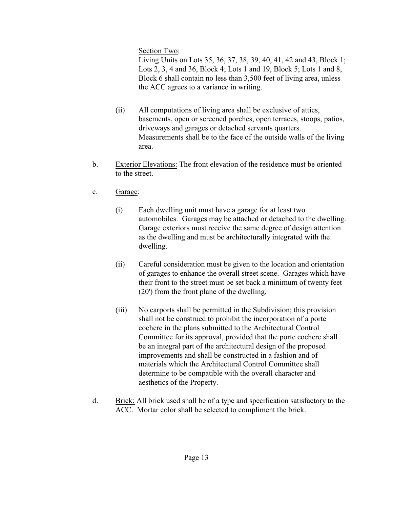Section Two:

Living Units on Lots 35, 36, 37, 38, 39, 40, 41, 42 and 43, Block 1; Lots 2, 3, 4 and 36, Block 4; Lots 1 and 19, Block 5; Lots 1 and 8, Block 6 shall contain no less than 3,500 feet of living area, unless the ACC agrees to a variance in writing.

- (ii) All computations of living area shall be exclusive of attics, basements, open or screened porches, open terraces, stoops, patios, driveways and garages or detached servants quarters. Measurements shall be to the face of the outside walls of the living area.
- b. Exterior Elevations: The front elevation of the residence must be oriented to the street.
- c. Garage:
	- (i) Each dwelling unit must have a garage for at least two automobiles. Garages may be attached or detached to the dwelling. Garage exteriors must receive the same degree of design attention as the dwelling and must be architecturally integrated with the dwelling.
	- (ii) Careful consideration must be given to the location and orientation of garages to enhance the overall street scene. Garages which have their front to the street must be set back a minimum of twenty feet (20') from the front plane of the dwelling.
	- (iii) No carports shall be permitted in the Subdivision; this provision shall not be construed to prohibit the incorporation of a porte cochere in the plans submitted to the Architectural Control Committee for its approval, provided that the porte cochere shall be an integral part of the architectural design of the proposed improvements and shall be constructed in a fashion and of materials which the Architectural Control Committee shall determine to be compatible with the overall character and aesthetics of the Property.
- d. Brick: All brick used shall be of a type and specification satisfactory to the ACC. Mortar color shall be selected to compliment the brick.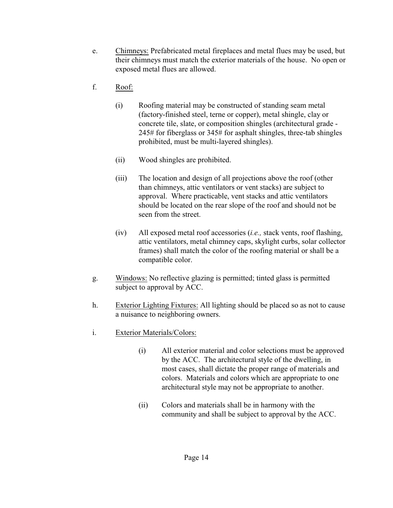- e. Chimneys: Prefabricated metal fireplaces and metal flues may be used, but their chimneys must match the exterior materials of the house. No open or exposed metal flues are allowed.
- f. Roof:
	- (i) Roofing material may be constructed of standing seam metal (factory-finished steel, terne or copper), metal shingle, clay or concrete tile, slate, or composition shingles (architectural grade - 245# for fiberglass or 345# for asphalt shingles, three-tab shingles prohibited, must be multi-layered shingles).
	- (ii) Wood shingles are prohibited.
	- (iii) The location and design of all projections above the roof (other than chimneys, attic ventilators or vent stacks) are subject to approval. Where practicable, vent stacks and attic ventilators should be located on the rear slope of the roof and should not be seen from the street.
	- (iv) All exposed metal roof accessories (*i.e.,* stack vents, roof flashing, attic ventilators, metal chimney caps, skylight curbs, solar collector frames) shall match the color of the roofing material or shall be a compatible color.
- g. Windows: No reflective glazing is permitted; tinted glass is permitted subject to approval by ACC.
- h. Exterior Lighting Fixtures: All lighting should be placed so as not to cause a nuisance to neighboring owners.
- i. Exterior Materials/Colors:
	- (i) All exterior material and color selections must be approved by the ACC. The architectural style of the dwelling, in most cases, shall dictate the proper range of materials and colors. Materials and colors which are appropriate to one architectural style may not be appropriate to another.
	- (ii) Colors and materials shall be in harmony with the community and shall be subject to approval by the ACC.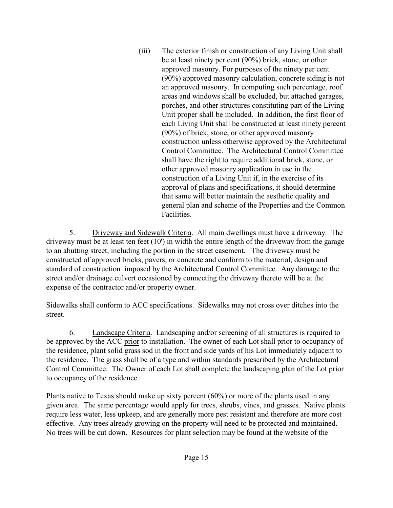(iii) The exterior finish or construction of any Living Unit shall be at least ninety per cent (90%) brick, stone, or other approved masonry. For purposes of the ninety per cent (90%) approved masonry calculation, concrete siding is not an approved masonry. In computing such percentage, roof areas and windows shall be excluded, but attached garages, porches, and other structures constituting part of the Living Unit proper shall be included. In addition, the first floor of each Living Unit shall be constructed at least ninety percent (90%) of brick, stone, or other approved masonry construction unless otherwise approved by the Architectural Control Committee. The Architectural Control Committee shall have the right to require additional brick, stone, or other approved masonry application in use in the construction of a Living Unit if, in the exercise of its approval of plans and specifications, it should determine that same will better maintain the aesthetic quality and general plan and scheme of the Properties and the Common Facilities.

5. Driveway and Sidewalk Criteria. All main dwellings must have a driveway. The driveway must be at least ten feet (10') in width the entire length of the driveway from the garage to an abutting street, including the portion in the street easement. The driveway must be constructed of approved bricks, pavers, or concrete and conform to the material, design and standard of construction imposed by the Architectural Control Committee. Any damage to the street and/or drainage culvert occasioned by connecting the driveway thereto will be at the expense of the contractor and/or property owner.

Sidewalks shall conform to ACC specifications. Sidewalks may not cross over ditches into the street.

6. Landscape Criteria. Landscaping and/or screening of all structures is required to be approved by the ACC prior to installation. The owner of each Lot shall prior to occupancy of the residence, plant solid grass sod in the front and side yards of his Lot immediately adjacent to the residence. The grass shall be of a type and within standards prescribed by the Architectural Control Committee. The Owner of each Lot shall complete the landscaping plan of the Lot prior to occupancy of the residence.

Plants native to Texas should make up sixty percent (60%) or more of the plants used in any given area. The same percentage would apply for trees, shrubs, vines, and grasses. Native plants require less water, less upkeep, and are generally more pest resistant and therefore are more cost effective. Any trees already growing on the property will need to be protected and maintained. No trees will be cut down. Resources for plant selection may be found at the website of the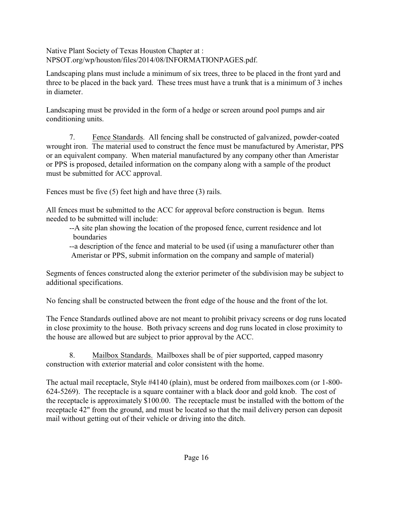Native Plant Society of Texas Houston Chapter at : NPSOT.org/wp/houston/files/2014/08/INFORMATIONPAGES.pdf.

Landscaping plans must include a minimum of six trees, three to be placed in the front yard and three to be placed in the back yard. These trees must have a trunk that is a minimum of 3 inches in diameter.

Landscaping must be provided in the form of a hedge or screen around pool pumps and air conditioning units.

7. Fence Standards. All fencing shall be constructed of galvanized, powder-coated wrought iron. The material used to construct the fence must be manufactured by Ameristar, PPS or an equivalent company. When material manufactured by any company other than Ameristar or PPS is proposed, detailed information on the company along with a sample of the product must be submitted for ACC approval.

Fences must be five (5) feet high and have three (3) rails.

All fences must be submitted to the ACC for approval before construction is begun. Items needed to be submitted will include:

--A site plan showing the location of the proposed fence, current residence and lot boundaries

--a description of the fence and material to be used (if using a manufacturer other than Ameristar or PPS, submit information on the company and sample of material)

Segments of fences constructed along the exterior perimeter of the subdivision may be subject to additional specifications.

No fencing shall be constructed between the front edge of the house and the front of the lot.

The Fence Standards outlined above are not meant to prohibit privacy screens or dog runs located in close proximity to the house. Both privacy screens and dog runs located in close proximity to the house are allowed but are subject to prior approval by the ACC.

8. Mailbox Standards. Mailboxes shall be of pier supported, capped masonry construction with exterior material and color consistent with the home.

The actual mail receptacle, Style #4140 (plain), must be ordered from mailboxes.com (or 1-800- 624-5269). The receptacle is a square container with a black door and gold knob. The cost of the receptacle is approximately \$100.00. The receptacle must be installed with the bottom of the receptacle 42" from the ground, and must be located so that the mail delivery person can deposit mail without getting out of their vehicle or driving into the ditch.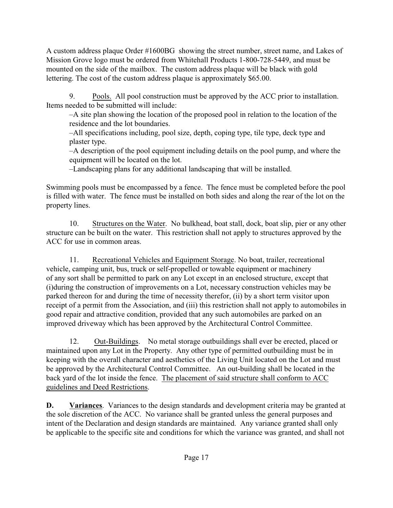A custom address plaque Order #1600BG showing the street number, street name, and Lakes of Mission Grove logo must be ordered from Whitehall Products 1-800-728-5449, and must be mounted on the side of the mailbox. The custom address plaque will be black with gold lettering. The cost of the custom address plaque is approximately \$65.00.

9. Pools. All pool construction must be approved by the ACC prior to installation. Items needed to be submitted will include:

–A site plan showing the location of the proposed pool in relation to the location of the residence and the lot boundaries.

–All specifications including, pool size, depth, coping type, tile type, deck type and plaster type.

–A description of the pool equipment including details on the pool pump, and where the equipment will be located on the lot.

–Landscaping plans for any additional landscaping that will be installed.

Swimming pools must be encompassed by a fence. The fence must be completed before the pool is filled with water. The fence must be installed on both sides and along the rear of the lot on the property lines.

10. Structures on the Water. No bulkhead, boat stall, dock, boat slip, pier or any other structure can be built on the water. This restriction shall not apply to structures approved by the ACC for use in common areas.

11. Recreational Vehicles and Equipment Storage. No boat, trailer, recreational vehicle, camping unit, bus, truck or self-propelled or towable equipment or machinery of any sort shall be permitted to park on any Lot except in an enclosed structure, except that (i)during the construction of improvements on a Lot, necessary construction vehicles may be parked thereon for and during the time of necessity therefor, (ii) by a short term visitor upon receipt of a permit from the Association, and (iii) this restriction shall not apply to automobiles in good repair and attractive condition, provided that any such automobiles are parked on an improved driveway which has been approved by the Architectural Control Committee.

12. Out-Buildings. No metal storage outbuildings shall ever be erected, placed or maintained upon any Lot in the Property. Any other type of permitted outbuilding must be in keeping with the overall character and aesthetics of the Living Unit located on the Lot and must be approved by the Architectural Control Committee. An out-building shall be located in the back yard of the lot inside the fence. The placement of said structure shall conform to ACC guidelines and Deed Restrictions.

**D. Variances**. Variances to the design standards and development criteria may be granted at the sole discretion of the ACC. No variance shall be granted unless the general purposes and intent of the Declaration and design standards are maintained. Any variance granted shall only be applicable to the specific site and conditions for which the variance was granted, and shall not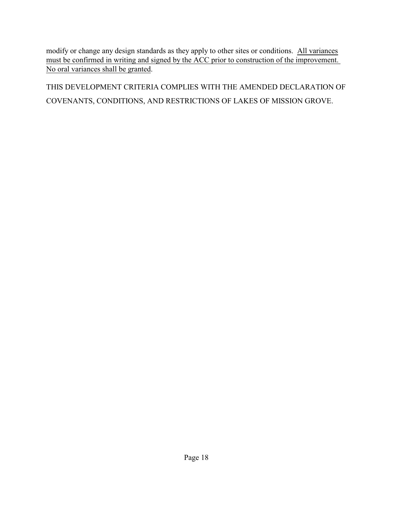modify or change any design standards as they apply to other sites or conditions. All variances must be confirmed in writing and signed by the ACC prior to construction of the improvement. No oral variances shall be granted.

THIS DEVELOPMENT CRITERIA COMPLIES WITH THE AMENDED DECLARATION OF COVENANTS, CONDITIONS, AND RESTRICTIONS OF LAKES OF MISSION GROVE.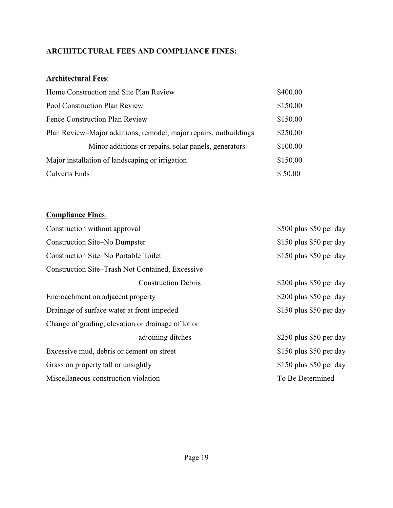### **ARCHITECTURAL FEES AND COMPLIANCE FINES:**

## **Architectural Fees**:

| Home Construction and Site Plan Review                            | \$400.00 |  |
|-------------------------------------------------------------------|----------|--|
| Pool Construction Plan Review                                     |          |  |
| Fence Construction Plan Review                                    |          |  |
| Plan Review–Major additions, remodel, major repairs, outbuildings |          |  |
| Minor additions or repairs, solar panels, generators              | \$100.00 |  |
| Major installation of landscaping or irrigation                   |          |  |
| <b>Culverts Ends</b>                                              |          |  |

# **Compliance Fines**:

| Construction without approval                      | \$500 plus \$50 per day   |  |  |  |  |
|----------------------------------------------------|---------------------------|--|--|--|--|
| <b>Construction Site–No Dumpster</b>               | $$150$ plus $$50$ per day |  |  |  |  |
| Construction Site–No Portable Toilet               | $$150$ plus $$50$ per day |  |  |  |  |
| Construction Site–Trash Not Contained, Excessive   |                           |  |  |  |  |
| <b>Construction Debris</b>                         | \$200 plus \$50 per day   |  |  |  |  |
| Encroachment on adjacent property                  | \$200 plus \$50 per day   |  |  |  |  |
| Drainage of surface water at front impeded         | $$150$ plus $$50$ per day |  |  |  |  |
| Change of grading, elevation or drainage of lot or |                           |  |  |  |  |
| adjoining ditches                                  | \$250 plus \$50 per day   |  |  |  |  |
| Excessive mud, debris or cement on street          | $$150$ plus $$50$ per day |  |  |  |  |
| Grass on property tall or unsightly                | $$150$ plus $$50$ per day |  |  |  |  |
| Miscellaneous construction violation               | To Be Determined          |  |  |  |  |